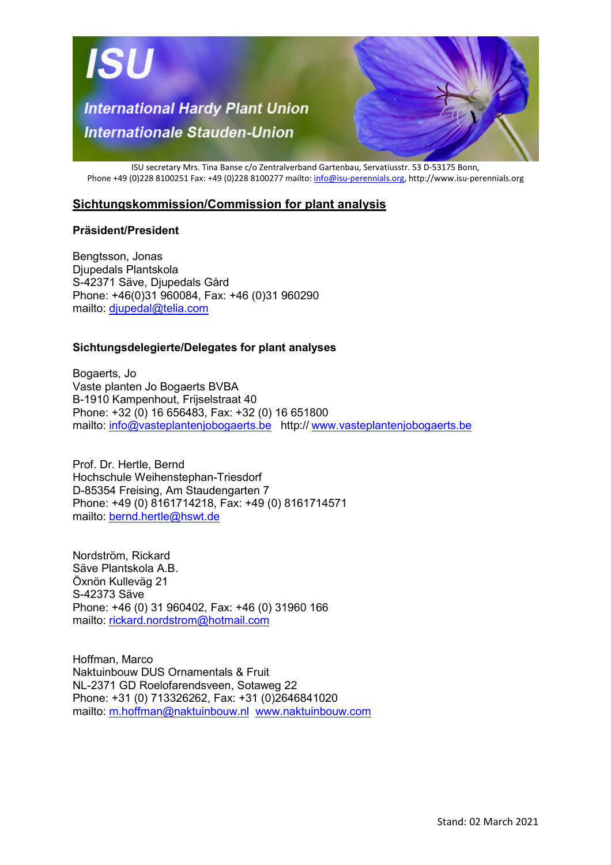

ISU secretary Mrs. Tina Banse c/o Zentralverband Gartenbau, Servatiusstr. 53 D-53175 Bonn, Phone +49 (0)228 8100251 Fax: +49 (0)228 8100277 mailto: info@isu-perennials.org, http://www.isu-perennials.org

## **Sichtungskommission/Commission for plant analysis**

## **Präsident/President**

Bengtsson, Jonas Djupedals Plantskola S-42371 Säve, Djupedals Gård Phone: +46(0)31 960084, Fax: +46 (0)31 960290 mailto: djupedal@telia.com

## **Sichtungsdelegierte/Delegates for plant analyses**

Bogaerts, Jo Vaste planten Jo Bogaerts BVBA B-1910 Kampenhout, Frijselstraat 40 Phone: +32 (0) 16 656483, Fax: +32 (0) 16 651800 mailto: info@vasteplantenjobogaerts.be http:// www.vasteplantenjobogaerts.be

Prof. Dr. Hertle, Bernd Hochschule Weihenstephan-Triesdorf D-85354 Freising, Am Staudengarten 7 Phone: +49 (0) 8161714218, Fax: +49 (0) 8161714571 mailto: bernd.hertle@hswt.de

Nordström, Rickard Säve Plantskola A.B. Öxnön Kulleväg 21 S-42373 Säve Phone: +46 (0) 31 960402, Fax: +46 (0) 31960 166 mailto: rickard.nordstrom@hotmail.com

Hoffman, Marco Naktuinbouw DUS Ornamentals & Fruit NL-2371 GD Roelofarendsveen, Sotaweg 22 Phone: +31 (0) 713326262, Fax: +31 (0)2646841020 mailto: m.hoffman@naktuinbouw.nl www.naktuinbouw.com